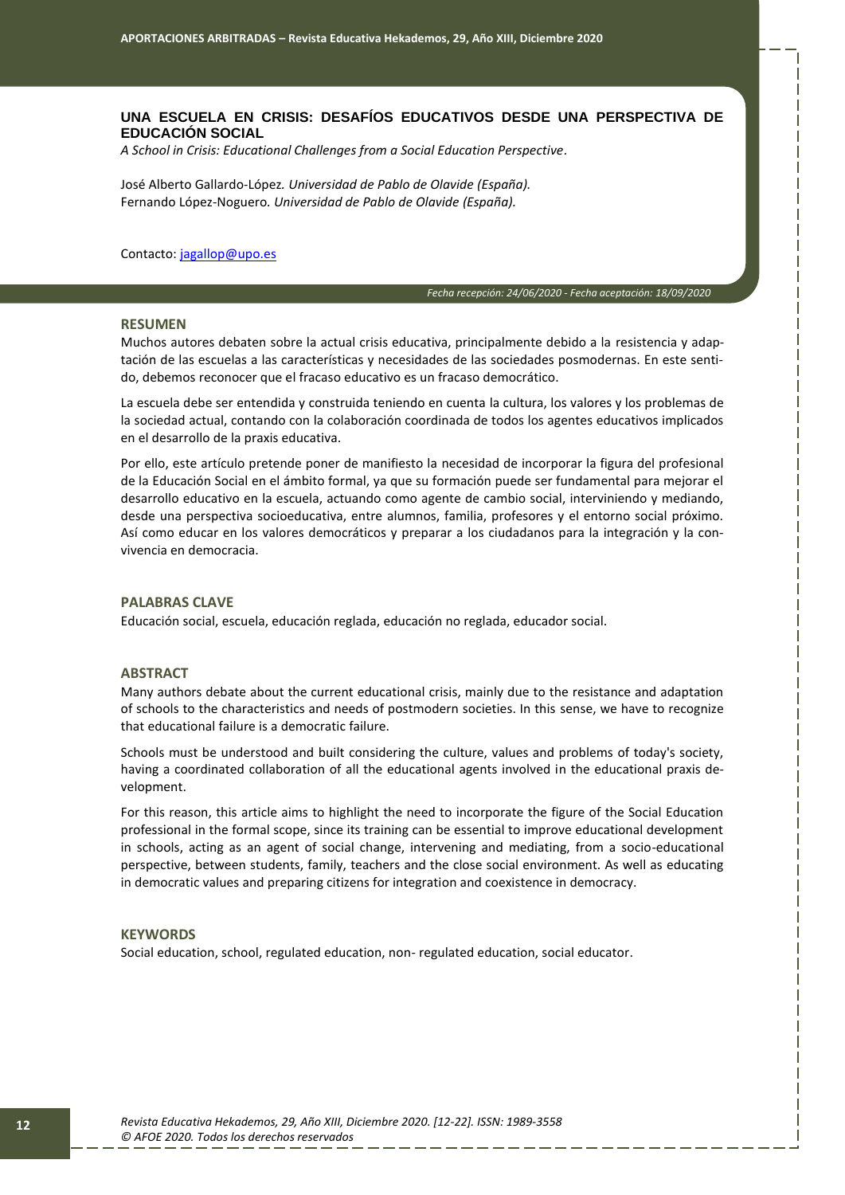## **UNA ESCUELA EN CRISIS: DESAFÍOS EDUCATIVOS DESDE UNA PERSPECTIVA DE EDUCACIÓN SOCIAL**

*A School in Crisis: Educational Challenges from a Social Education Perspective.*

José Alberto Gallardo-López*. Universidad de Pablo de Olavide (España).* Fernando López-Noguero*. Universidad de Pablo de Olavide (España).*

Contacto: [jagallop@upo.es](mailto:jagallop@upo.eS)

*Fecha recepción: 24/06/2020 - Fecha aceptación: 18/09/2020*

*00*

#### **RESUMEN**

Muchos autores debaten sobre la actual crisis educativa, principalmente debido a la resistencia y adaptación de las escuelas a las características y necesidades de las sociedades posmodernas. En este sentido, debemos reconocer que el fracaso educativo es un fracaso democrático.

La escuela debe ser entendida y construida teniendo en cuenta la cultura, los valores y los problemas de la sociedad actual, contando con la colaboración coordinada de todos los agentes educativos implicados en el desarrollo de la praxis educativa.

Por ello, este artículo pretende poner de manifiesto la necesidad de incorporar la figura del profesional de la Educación Social en el ámbito formal, ya que su formación puede ser fundamental para mejorar el desarrollo educativo en la escuela, actuando como agente de cambio social, interviniendo y mediando, desde una perspectiva socioeducativa, entre alumnos, familia, profesores y el entorno social próximo. Así como educar en los valores democráticos y preparar a los ciudadanos para la integración y la convivencia en democracia.

## **PALABRAS CLAVE**

Educación social, escuela, educación reglada, educación no reglada, educador social.

### **ABSTRACT**

Many authors debate about the current educational crisis, mainly due to the resistance and adaptation of schools to the characteristics and needs of postmodern societies. In this sense, we have to recognize that educational failure is a democratic failure.

Schools must be understood and built considering the culture, values and problems of today's society, having a coordinated collaboration of all the educational agents involved in the educational praxis development.

For this reason, this article aims to highlight the need to incorporate the figure of the Social Education professional in the formal scope, since its training can be essential to improve educational development in schools, acting as an agent of social change, intervening and mediating, from a socio-educational perspective, between students, family, teachers and the close social environment. As well as educating in democratic values and preparing citizens for integration and coexistence in democracy.

#### **KEYWORDS**

Social education, school, regulated education, non- regulated education, social educator.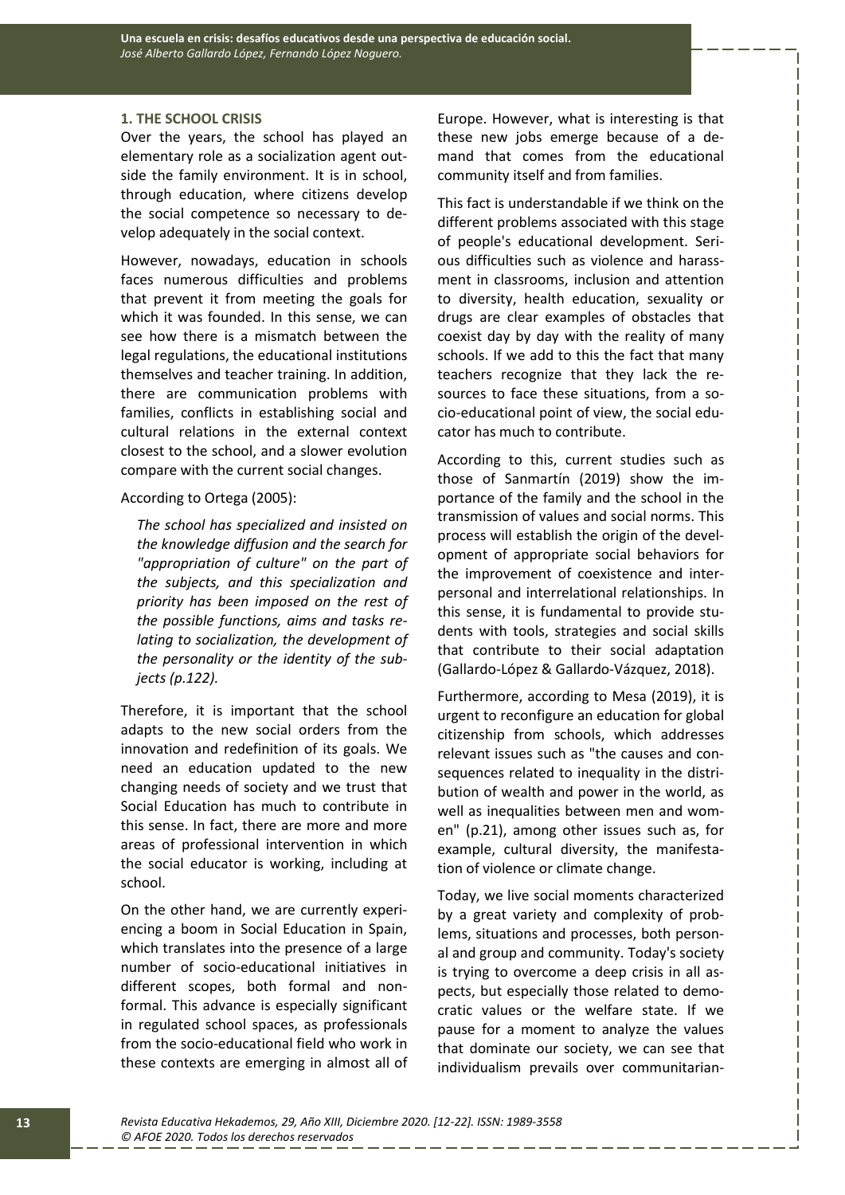### **1. THE SCHOOL CRISIS**

Over the years, the school has played an elementary role as a socialization agent outside the family environment. It is in school, through education, where citizens develop the social competence so necessary to develop adequately in the social context.

However, nowadays, education in schools faces numerous difficulties and problems that prevent it from meeting the goals for which it was founded. In this sense, we can see how there is a mismatch between the legal regulations, the educational institutions themselves and teacher training. In addition, there are communication problems with families, conflicts in establishing social and cultural relations in the external context closest to the school, and a slower evolution compare with the current social changes.

According to Ortega (2005):

*The school has specialized and insisted on the knowledge diffusion and the search for "appropriation of culture" on the part of the subjects, and this specialization and priority has been imposed on the rest of the possible functions, aims and tasks relating to socialization, the development of the personality or the identity of the subjects (p.122).*

Therefore, it is important that the school adapts to the new social orders from the innovation and redefinition of its goals. We need an education updated to the new changing needs of society and we trust that Social Education has much to contribute in this sense. In fact, there are more and more areas of professional intervention in which the social educator is working, including at school.

On the other hand, we are currently experiencing a boom in Social Education in Spain, which translates into the presence of a large number of socio-educational initiatives in different scopes, both formal and nonformal. This advance is especially significant in regulated school spaces, as professionals from the socio-educational field who work in these contexts are emerging in almost all of Europe. However, what is interesting is that these new jobs emerge because of a demand that comes from the educational community itself and from families.

This fact is understandable if we think on the different problems associated with this stage of people's educational development. Serious difficulties such as violence and harassment in classrooms, inclusion and attention to diversity, health education, sexuality or drugs are clear examples of obstacles that coexist day by day with the reality of many schools. If we add to this the fact that many teachers recognize that they lack the resources to face these situations, from a socio-educational point of view, the social educator has much to contribute.

According to this, current studies such as those of Sanmartín (2019) show the importance of the family and the school in the transmission of values and social norms. This process will establish the origin of the development of appropriate social behaviors for the improvement of coexistence and interpersonal and interrelational relationships. In this sense, it is fundamental to provide students with tools, strategies and social skills that contribute to their social adaptation (Gallardo-López & Gallardo-Vázquez, 2018).

Furthermore, according to Mesa (2019), it is urgent to reconfigure an education for global citizenship from schools, which addresses relevant issues such as "the causes and consequences related to inequality in the distribution of wealth and power in the world, as well as inequalities between men and women" (p.21), among other issues such as, for example, cultural diversity, the manifestation of violence or climate change.

Today, we live social moments characterized by a great variety and complexity of problems, situations and processes, both personal and group and community. Today's society is trying to overcome a deep crisis in all aspects, but especially those related to democratic values or the welfare state. If we pause for a moment to analyze the values that dominate our society, we can see that individualism prevails over communitarian-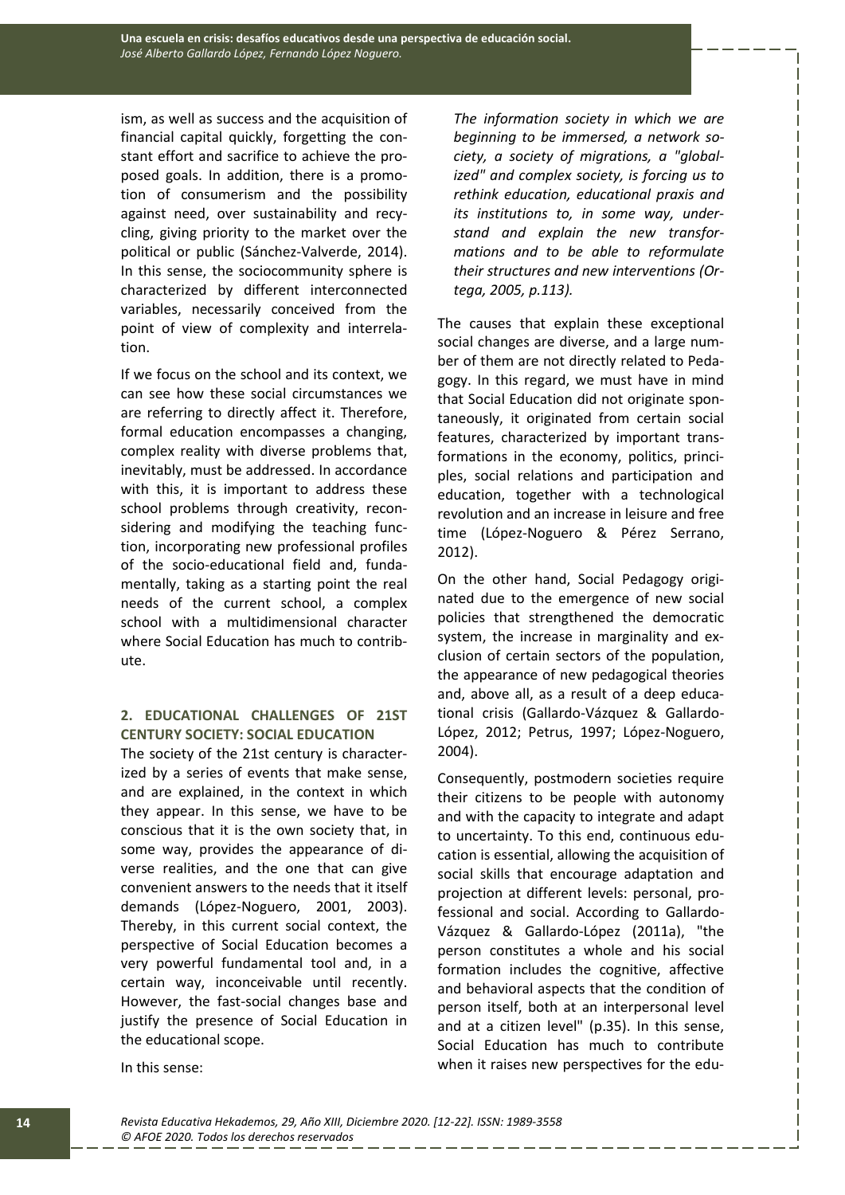ism, as well as success and the acquisition of financial capital quickly, forgetting the constant effort and sacrifice to achieve the proposed goals. In addition, there is a promotion of consumerism and the possibility against need, over sustainability and recycling, giving priority to the market over the political or public (Sánchez-Valverde, 2014). In this sense, the sociocommunity sphere is characterized by different interconnected variables, necessarily conceived from the point of view of complexity and interrelation.

If we focus on the school and its context, we can see how these social circumstances we are referring to directly affect it. Therefore, formal education encompasses a changing, complex reality with diverse problems that, inevitably, must be addressed. In accordance with this, it is important to address these school problems through creativity, reconsidering and modifying the teaching function, incorporating new professional profiles of the socio-educational field and, fundamentally, taking as a starting point the real needs of the current school, a complex school with a multidimensional character where Social Education has much to contribute.

# **2. EDUCATIONAL CHALLENGES OF 21ST CENTURY SOCIETY: SOCIAL EDUCATION**

The society of the 21st century is characterized by a series of events that make sense, and are explained, in the context in which they appear. In this sense, we have to be conscious that it is the own society that, in some way, provides the appearance of diverse realities, and the one that can give convenient answers to the needs that it itself demands (López-Noguero, 2001, 2003). Thereby, in this current social context, the perspective of Social Education becomes a very powerful fundamental tool and, in a certain way, inconceivable until recently. However, the fast-social changes base and justify the presence of Social Education in the educational scope.

*The information society in which we are beginning to be immersed, a network society, a society of migrations, a "globalized" and complex society, is forcing us to rethink education, educational praxis and its institutions to, in some way, understand and explain the new transformations and to be able to reformulate their structures and new interventions (Ortega, 2005, p.113).*

The causes that explain these exceptional social changes are diverse, and a large number of them are not directly related to Pedagogy. In this regard, we must have in mind that Social Education did not originate spontaneously, it originated from certain social features, characterized by important transformations in the economy, politics, principles, social relations and participation and education, together with a technological revolution and an increase in leisure and free time (López-Noguero & Pérez Serrano, 2012).

On the other hand, Social Pedagogy originated due to the emergence of new social policies that strengthened the democratic system, the increase in marginality and exclusion of certain sectors of the population, the appearance of new pedagogical theories and, above all, as a result of a deep educational crisis (Gallardo-Vázquez & Gallardo-López, 2012; Petrus, 1997; López-Noguero, 2004).

Consequently, postmodern societies require their citizens to be people with autonomy and with the capacity to integrate and adapt to uncertainty. To this end, continuous education is essential, allowing the acquisition of social skills that encourage adaptation and projection at different levels: personal, professional and social. According to Gallardo-Vázquez & Gallardo-López (2011a), "the person constitutes a whole and his social formation includes the cognitive, affective and behavioral aspects that the condition of person itself, both at an interpersonal level and at a citizen level" (p.35). In this sense, Social Education has much to contribute when it raises new perspectives for the edu-

In this sense: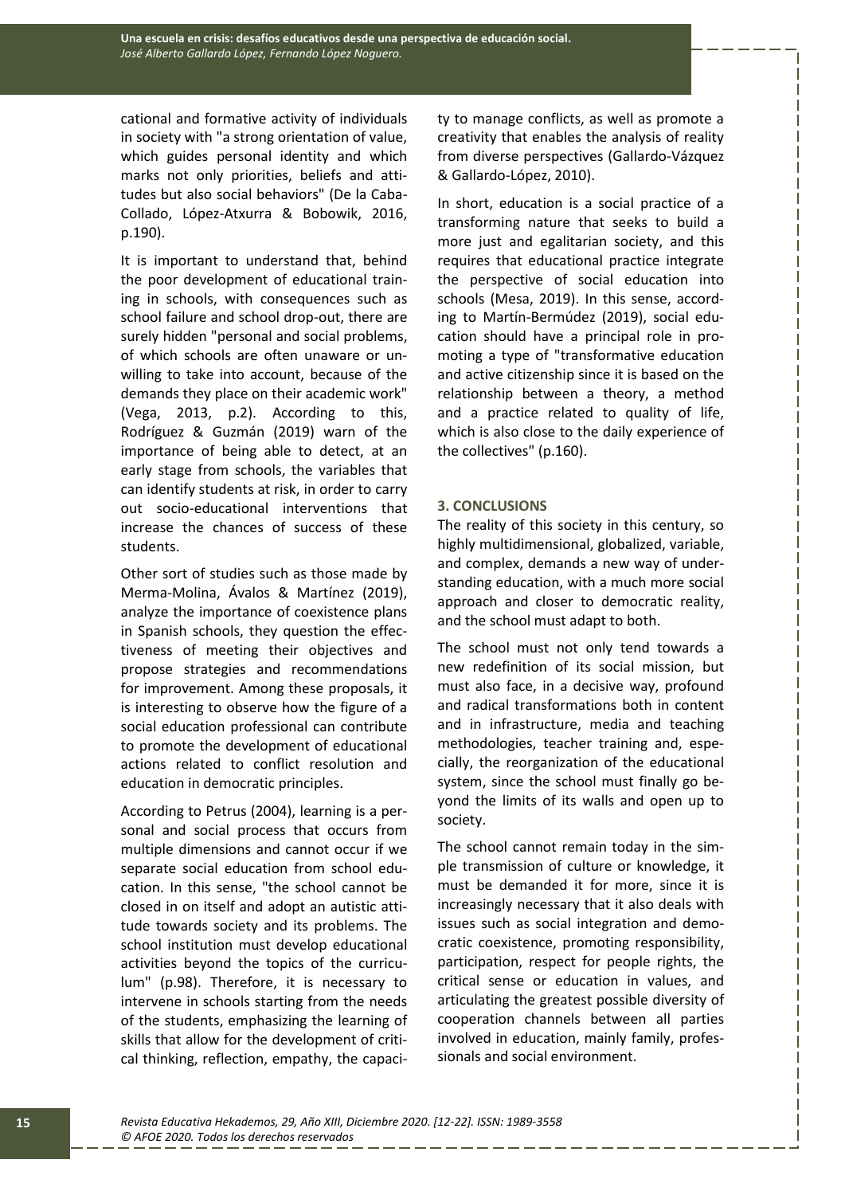cational and formative activity of individuals in society with "a strong orientation of value, which guides personal identity and which marks not only priorities, beliefs and attitudes but also social behaviors" (De la Caba-Collado, López-Atxurra & Bobowik, 2016, p.190).

It is important to understand that, behind the poor development of educational training in schools, with consequences such as school failure and school drop-out, there are surely hidden "personal and social problems, of which schools are often unaware or unwilling to take into account, because of the demands they place on their academic work" (Vega, 2013, p.2). According to this, Rodríguez & Guzmán (2019) warn of the importance of being able to detect, at an early stage from schools, the variables that can identify students at risk, in order to carry out socio-educational interventions that increase the chances of success of these students.

Other sort of studies such as those made by Merma-Molina, Ávalos & Martínez (2019), analyze the importance of coexistence plans in Spanish schools, they question the effectiveness of meeting their objectives and propose strategies and recommendations for improvement. Among these proposals, it is interesting to observe how the figure of a social education professional can contribute to promote the development of educational actions related to conflict resolution and education in democratic principles.

According to Petrus (2004), learning is a personal and social process that occurs from multiple dimensions and cannot occur if we separate social education from school education. In this sense, "the school cannot be closed in on itself and adopt an autistic attitude towards society and its problems. The school institution must develop educational activities beyond the topics of the curriculum" (p.98). Therefore, it is necessary to intervene in schools starting from the needs of the students, emphasizing the learning of skills that allow for the development of critical thinking, reflection, empathy, the capacity to manage conflicts, as well as promote a creativity that enables the analysis of reality from diverse perspectives (Gallardo-Vázquez & Gallardo-López, 2010).

In short, education is a social practice of a transforming nature that seeks to build a more just and egalitarian society, and this requires that educational practice integrate the perspective of social education into schools (Mesa, 2019). In this sense, according to Martín-Bermúdez (2019), social education should have a principal role in promoting a type of "transformative education and active citizenship since it is based on the relationship between a theory, a method and a practice related to quality of life, which is also close to the daily experience of the collectives" (p.160).

### **3. CONCLUSIONS**

The reality of this society in this century, so highly multidimensional, globalized, variable, and complex, demands a new way of understanding education, with a much more social approach and closer to democratic reality, and the school must adapt to both.

The school must not only tend towards a new redefinition of its social mission, but must also face, in a decisive way, profound and radical transformations both in content and in infrastructure, media and teaching methodologies, teacher training and, especially, the reorganization of the educational system, since the school must finally go beyond the limits of its walls and open up to society.

The school cannot remain today in the simple transmission of culture or knowledge, it must be demanded it for more, since it is increasingly necessary that it also deals with issues such as social integration and democratic coexistence, promoting responsibility, participation, respect for people rights, the critical sense or education in values, and articulating the greatest possible diversity of cooperation channels between all parties involved in education, mainly family, professionals and social environment.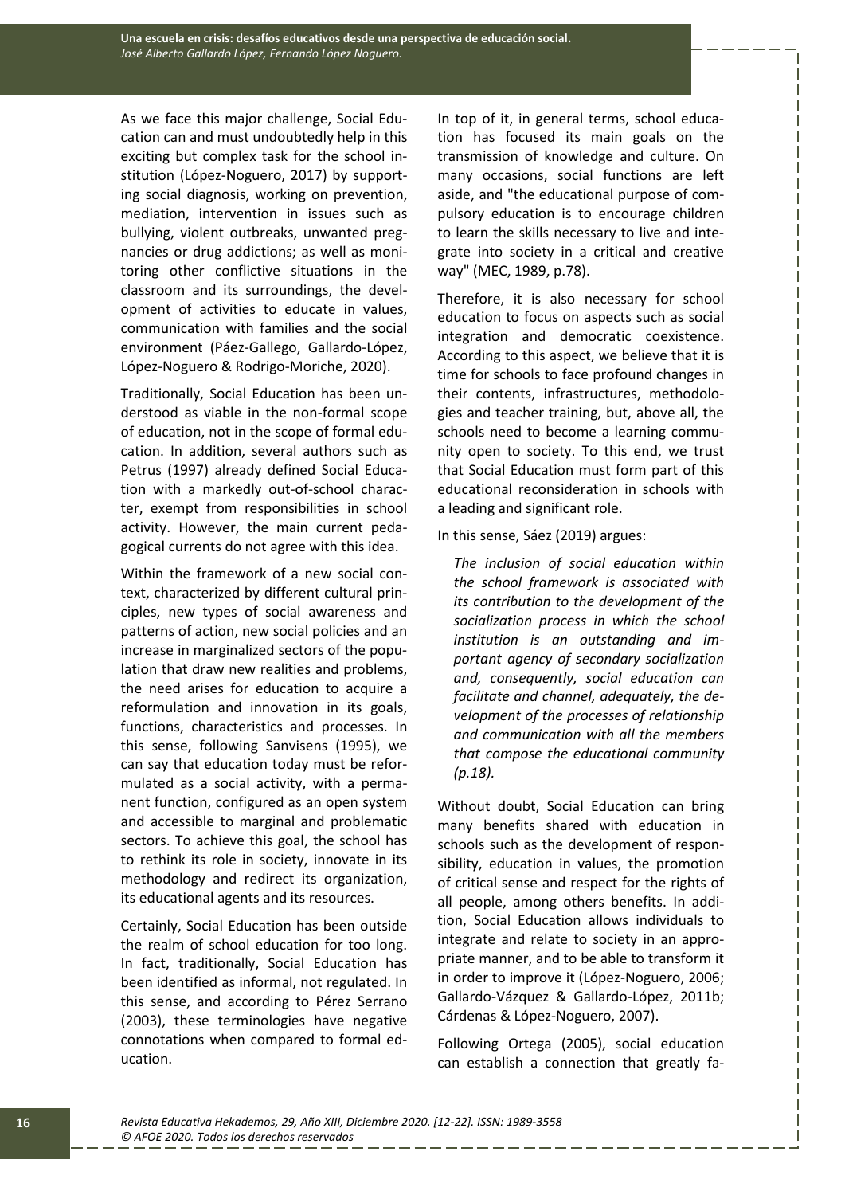As we face this major challenge, Social Education can and must undoubtedly help in this exciting but complex task for the school institution (López-Noguero, 2017) by supporting social diagnosis, working on prevention, mediation, intervention in issues such as bullying, violent outbreaks, unwanted pregnancies or drug addictions; as well as monitoring other conflictive situations in the classroom and its surroundings, the development of activities to educate in values, communication with families and the social environment (Páez-Gallego, Gallardo-López, López-Noguero & Rodrigo-Moriche, 2020).

Traditionally, Social Education has been understood as viable in the non-formal scope of education, not in the scope of formal education. In addition, several authors such as Petrus (1997) already defined Social Education with a markedly out-of-school character, exempt from responsibilities in school activity. However, the main current pedagogical currents do not agree with this idea.

Within the framework of a new social context, characterized by different cultural principles, new types of social awareness and patterns of action, new social policies and an increase in marginalized sectors of the population that draw new realities and problems, the need arises for education to acquire a reformulation and innovation in its goals, functions, characteristics and processes. In this sense, following Sanvisens (1995), we can say that education today must be reformulated as a social activity, with a permanent function, configured as an open system and accessible to marginal and problematic sectors. To achieve this goal, the school has to rethink its role in society, innovate in its methodology and redirect its organization, its educational agents and its resources.

Certainly, Social Education has been outside the realm of school education for too long. In fact, traditionally, Social Education has been identified as informal, not regulated. In this sense, and according to Pérez Serrano (2003), these terminologies have negative connotations when compared to formal education.

In top of it, in general terms, school education has focused its main goals on the transmission of knowledge and culture. On many occasions, social functions are left aside, and "the educational purpose of compulsory education is to encourage children to learn the skills necessary to live and integrate into society in a critical and creative way" (MEC, 1989, p.78).

Therefore, it is also necessary for school education to focus on aspects such as social integration and democratic coexistence. According to this aspect, we believe that it is time for schools to face profound changes in their contents, infrastructures, methodologies and teacher training, but, above all, the schools need to become a learning community open to society. To this end, we trust that Social Education must form part of this educational reconsideration in schools with a leading and significant role.

In this sense, Sáez (2019) argues:

*The inclusion of social education within the school framework is associated with its contribution to the development of the socialization process in which the school institution is an outstanding and important agency of secondary socialization and, consequently, social education can facilitate and channel, adequately, the development of the processes of relationship and communication with all the members that compose the educational community (p.18).*

Without doubt, Social Education can bring many benefits shared with education in schools such as the development of responsibility, education in values, the promotion of critical sense and respect for the rights of all people, among others benefits. In addition, Social Education allows individuals to integrate and relate to society in an appropriate manner, and to be able to transform it in order to improve it (López-Noguero, 2006; Gallardo-Vázquez & Gallardo-López, 2011b; Cárdenas & López-Noguero, 2007).

Following Ortega (2005), social education can establish a connection that greatly fa-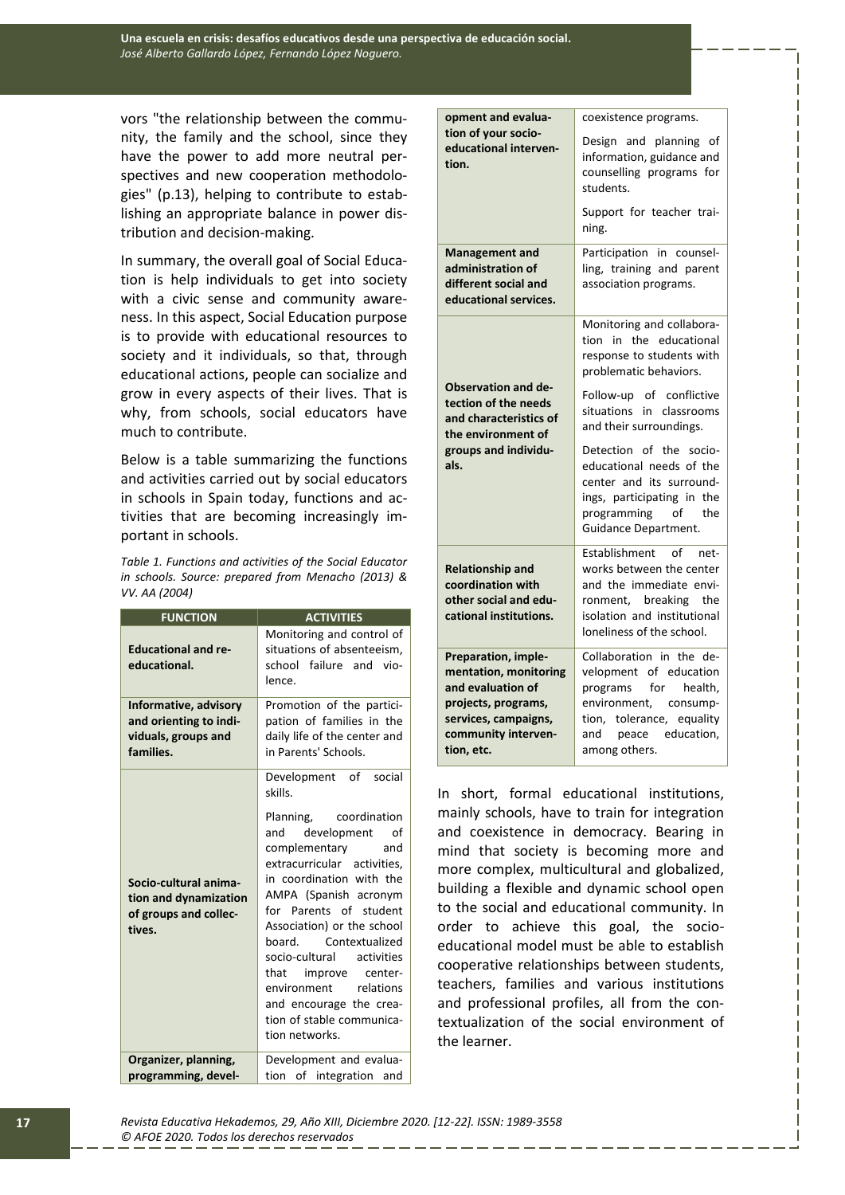vors "the relationship between the community, the family and the school, since they have the power to add more neutral perspectives and new cooperation methodologies" (p.13), helping to contribute to establishing an appropriate balance in power distribution and decision-making.

In summary, the overall goal of Social Education is help individuals to get into society with a civic sense and community awareness. In this aspect, Social Education purpose is to provide with educational resources to society and it individuals, so that, through educational actions, people can socialize and grow in every aspects of their lives. That is why, from schools, social educators have much to contribute.

Below is a table summarizing the functions and activities carried out by social educators in schools in Spain today, functions and activities that are becoming increasingly important in schools.

*Table 1. Functions and activities of the Social Educator in schools. Source: prepared from Menacho (2013) & VV. AA (2004)*

| <b>FUNCTION</b>                                                                     | <b>ACTIVITIES</b>                                                                                                                                                                                                                                                                                                                                                                                                                              |
|-------------------------------------------------------------------------------------|------------------------------------------------------------------------------------------------------------------------------------------------------------------------------------------------------------------------------------------------------------------------------------------------------------------------------------------------------------------------------------------------------------------------------------------------|
| <b>Educational and re-</b><br>educational.                                          | Monitoring and control of<br>situations of absenteeism,<br>school failure and vio-<br>lence.                                                                                                                                                                                                                                                                                                                                                   |
| Informative, advisory<br>and orienting to indi-<br>viduals, groups and<br>families. | Promotion of the partici-<br>pation of families in the<br>daily life of the center and<br>in Parents' Schools.                                                                                                                                                                                                                                                                                                                                 |
| Socio-cultural anima-<br>tion and dynamization<br>of groups and collec-<br>tives.   | Development of<br>social<br>skills.<br>Planning, coordination<br>development<br>and<br>of<br>complementary<br>and<br>extracurricular activities.<br>in coordination with the<br>AMPA (Spanish acronym<br>for Parents of student<br>Association) or the school<br>board. Contextualized<br>socio-cultural activities<br>that improve center-<br>environment relations<br>and encourage the crea-<br>tion of stable communica-<br>tion networks. |
| Organizer, planning,                                                                | Development and evalua-                                                                                                                                                                                                                                                                                                                                                                                                                        |
| programming, devel-                                                                 | tion of integration<br>and                                                                                                                                                                                                                                                                                                                                                                                                                     |

| opment and evalua-<br>tion of your socio-<br>educational interven-<br>tion.                                                        | coexistence programs.                                                                                                                                                   |
|------------------------------------------------------------------------------------------------------------------------------------|-------------------------------------------------------------------------------------------------------------------------------------------------------------------------|
|                                                                                                                                    | Design and planning<br>of<br>information, guidance and<br>counselling programs for<br>students.                                                                         |
|                                                                                                                                    | Support for teacher trai-<br>ning.                                                                                                                                      |
| <b>Management and</b><br>administration of<br>different social and<br>educational services.                                        | Participation in counsel-<br>ling, training and parent<br>association programs.                                                                                         |
| <b>Observation and de-</b><br>tection of the needs<br>and characteristics of<br>the environment of<br>groups and individu-<br>als. | Monitoring and collabora-<br>tion in the educational<br>response to students with<br>problematic behaviors.                                                             |
|                                                                                                                                    | Follow-up of<br>conflictive<br>situations in<br>classrooms<br>and their surroundings.                                                                                   |
|                                                                                                                                    | Detection of the socio-<br>educational needs of the<br>center and its surround-<br>ings, participating in the<br>programming of the<br>Guidance Department.             |
| <b>Relationship and</b><br>coordination with<br>other social and edu-<br>cational institutions.                                    | Establishment<br>of<br>net-<br>works between the center<br>and the immediate envi-<br>ronment, breaking the<br>isolation and institutional<br>loneliness of the school. |
| Preparation, imple-<br>mentation, monitoring<br>and evaluation of<br>projects, programs,<br>services, campaigns,                   | Collaboration in the de-<br>velopment of education<br>programs for health,<br>environment, consump-<br>tion, tolerance, equality                                        |
| community interven-<br>tion, etc.                                                                                                  | and peace education,<br>among others.                                                                                                                                   |

In short, formal educational institutions, mainly schools, have to train for integration and coexistence in democracy. Bearing in mind that society is becoming more and more complex, multicultural and globalized, building a flexible and dynamic school open to the social and educational community. In order to achieve this goal, the socioeducational model must be able to establish cooperative relationships between students, teachers, families and various institutions and professional profiles, all from the contextualization of the social environment of the learner.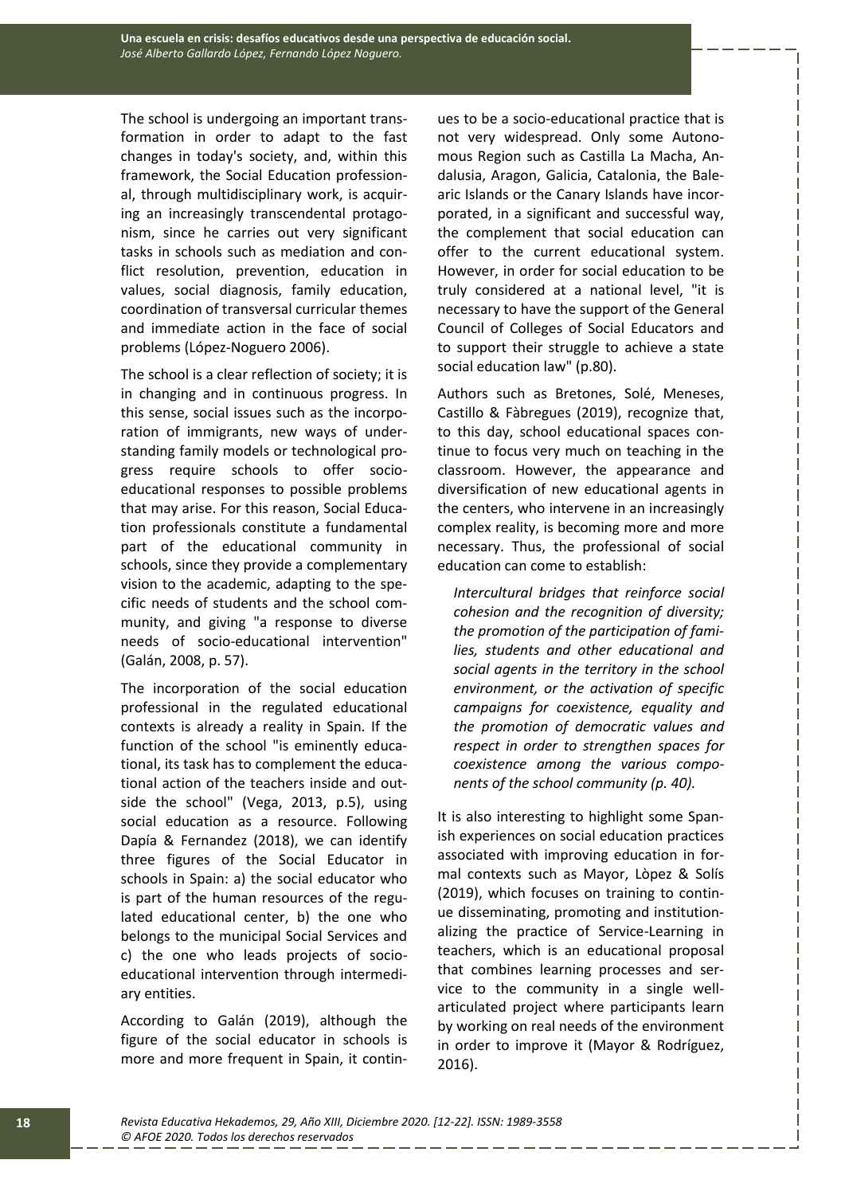The school is undergoing an important transformation in order to adapt to the fast changes in today's society, and, within this framework, the Social Education professional, through multidisciplinary work, is acquiring an increasingly transcendental protagonism, since he carries out very significant tasks in schools such as mediation and conflict resolution, prevention, education in values, social diagnosis, family education, coordination of transversal curricular themes and immediate action in the face of social problems (López-Noguero 2006).

The school is a clear reflection of society; it is in changing and in continuous progress. In this sense, social issues such as the incorporation of immigrants, new ways of understanding family models or technological progress require schools to offer socioeducational responses to possible problems that may arise. For this reason, Social Education professionals constitute a fundamental part of the educational community in schools, since they provide a complementary vision to the academic, adapting to the specific needs of students and the school community, and giving "a response to diverse needs of socio-educational intervention" (Galán, 2008, p. 57).

The incorporation of the social education professional in the regulated educational contexts is already a reality in Spain. If the function of the school "is eminently educational, its task has to complement the educational action of the teachers inside and outside the school" (Vega, 2013, p.5), using social education as a resource. Following Dapía & Fernandez (2018), we can identify three figures of the Social Educator in schools in Spain: a) the social educator who is part of the human resources of the regulated educational center, b) the one who belongs to the municipal Social Services and c) the one who leads projects of socioeducational intervention through intermediary entities.

According to Galán (2019), although the figure of the social educator in schools is more and more frequent in Spain, it continues to be a socio-educational practice that is not very widespread. Only some Autonomous Region such as Castilla La Macha, Andalusia, Aragon, Galicia, Catalonia, the Balearic Islands or the Canary Islands have incorporated, in a significant and successful way, the complement that social education can offer to the current educational system. However, in order for social education to be truly considered at a national level, "it is necessary to have the support of the General Council of Colleges of Social Educators and to support their struggle to achieve a state social education law" (p.80).

Authors such as Bretones, Solé, Meneses, Castillo & Fàbregues (2019), recognize that, to this day, school educational spaces continue to focus very much on teaching in the classroom. However, the appearance and diversification of new educational agents in the centers, who intervene in an increasingly complex reality, is becoming more and more necessary. Thus, the professional of social education can come to establish:

*Intercultural bridges that reinforce social cohesion and the recognition of diversity; the promotion of the participation of families, students and other educational and social agents in the territory in the school environment, or the activation of specific campaigns for coexistence, equality and the promotion of democratic values and respect in order to strengthen spaces for coexistence among the various components of the school community (p. 40).*

It is also interesting to highlight some Spanish experiences on social education practices associated with improving education in formal contexts such as Mayor, Lòpez & Solís (2019), which focuses on training to continue disseminating, promoting and institutionalizing the practice of Service-Learning in teachers, which is an educational proposal that combines learning processes and service to the community in a single wellarticulated project where participants learn by working on real needs of the environment in order to improve it (Mayor & Rodríguez, 2016).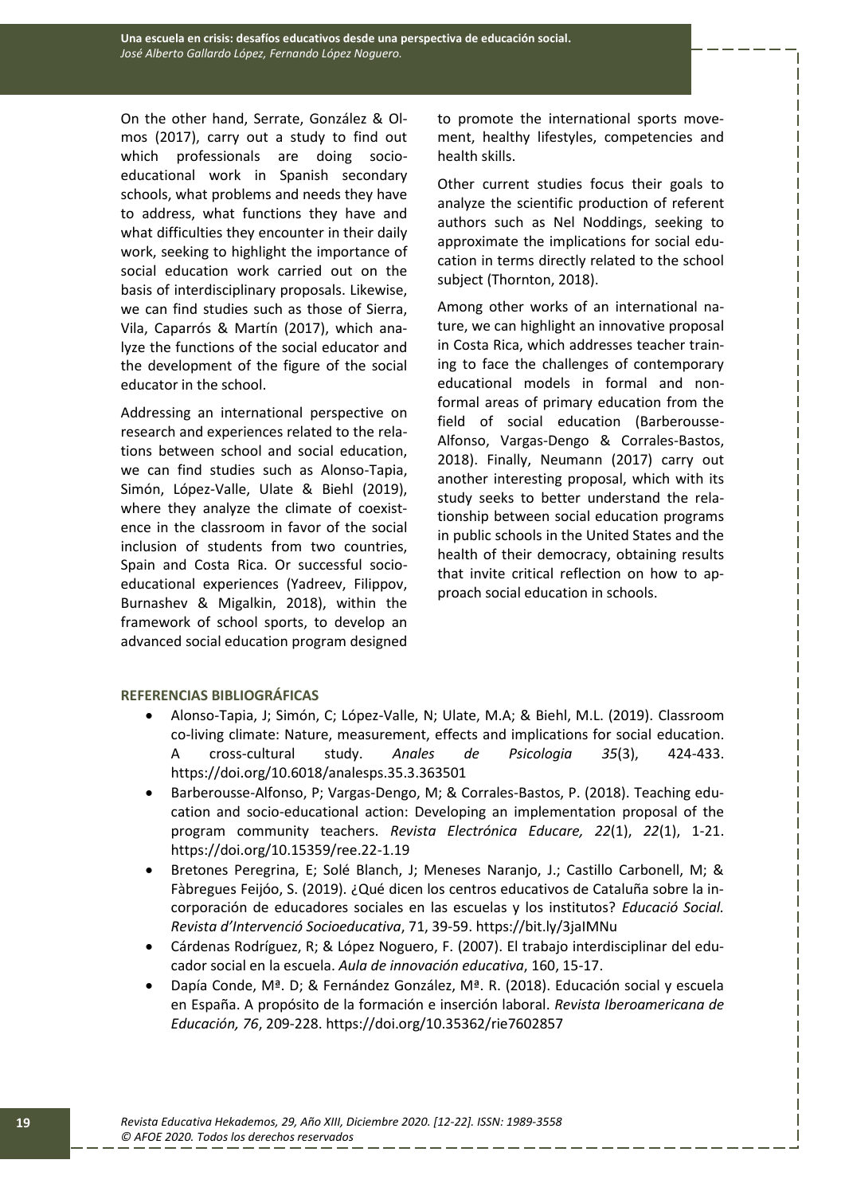On the other hand, Serrate, González & Olmos (2017), carry out a study to find out which professionals are doing socioeducational work in Spanish secondary schools, what problems and needs they have to address, what functions they have and what difficulties they encounter in their daily work, seeking to highlight the importance of social education work carried out on the basis of interdisciplinary proposals. Likewise, we can find studies such as those of Sierra, Vila, Caparrós & Martín (2017), which analyze the functions of the social educator and the development of the figure of the social educator in the school.

Addressing an international perspective on research and experiences related to the relations between school and social education, we can find studies such as Alonso-Tapia, Simón, López-Valle, Ulate & Biehl (2019), where they analyze the climate of coexistence in the classroom in favor of the social inclusion of students from two countries, Spain and Costa Rica. Or successful socioeducational experiences (Yadreev, Filippov, Burnashev & Migalkin, 2018), within the framework of school sports, to develop an advanced social education program designed

to promote the international sports movement, healthy lifestyles, competencies and health skills.

Other current studies focus their goals to analyze the scientific production of referent authors such as Nel Noddings, seeking to approximate the implications for social education in terms directly related to the school subject (Thornton, 2018).

Among other works of an international nature, we can highlight an innovative proposal in Costa Rica, which addresses teacher training to face the challenges of contemporary educational models in formal and nonformal areas of primary education from the field of social education (Barberousse-Alfonso, Vargas-Dengo & Corrales-Bastos, 2018). Finally, Neumann (2017) carry out another interesting proposal, which with its study seeks to better understand the relationship between social education programs in public schools in the United States and the health of their democracy, obtaining results that invite critical reflection on how to approach social education in schools.

# **REFERENCIAS BIBLIOGRÁFICAS**

- Alonso-Tapia, J; Simón, C; López-Valle, N; Ulate, M.A; & Biehl, M.L. (2019). Classroom co-living climate: Nature, measurement, effects and implications for social education. A cross-cultural study. *Anales de Psicologia 35*(3), 424-433. https://doi.org/10.6018/analesps.35.3.363501
- Barberousse-Alfonso, P; Vargas-Dengo, M; & Corrales-Bastos, P. (2018). Teaching education and socio-educational action: Developing an implementation proposal of the program community teachers. *Revista Electrónica Educare, 22*(1), *22*(1), 1-21. https://doi.org/10.15359/ree.22-1.19
- Bretones Peregrina, E; Solé Blanch, J; Meneses Naranjo, J.; Castillo Carbonell, M; & Fàbregues Feijóo, S. (2019). ¿Qué dicen los centros educativos de Cataluña sobre la incorporación de educadores sociales en las escuelas y los institutos? *Educació Social. Revista d'Intervenció Socioeducativa*, 71, 39-59. https://bit.ly/3jaIMNu
- Cárdenas Rodríguez, R; & López Noguero, F. (2007). El trabajo interdisciplinar del educador social en la escuela. *Aula de innovación educativa*, 160, 15-17.
- Dapía Conde, Mª. D; & Fernández González, Mª. R. (2018). Educación social y escuela en España. A propósito de la formación e inserción laboral. *Revista Iberoamericana de Educación, 76*, 209-228. https://doi.org/10.35362/rie7602857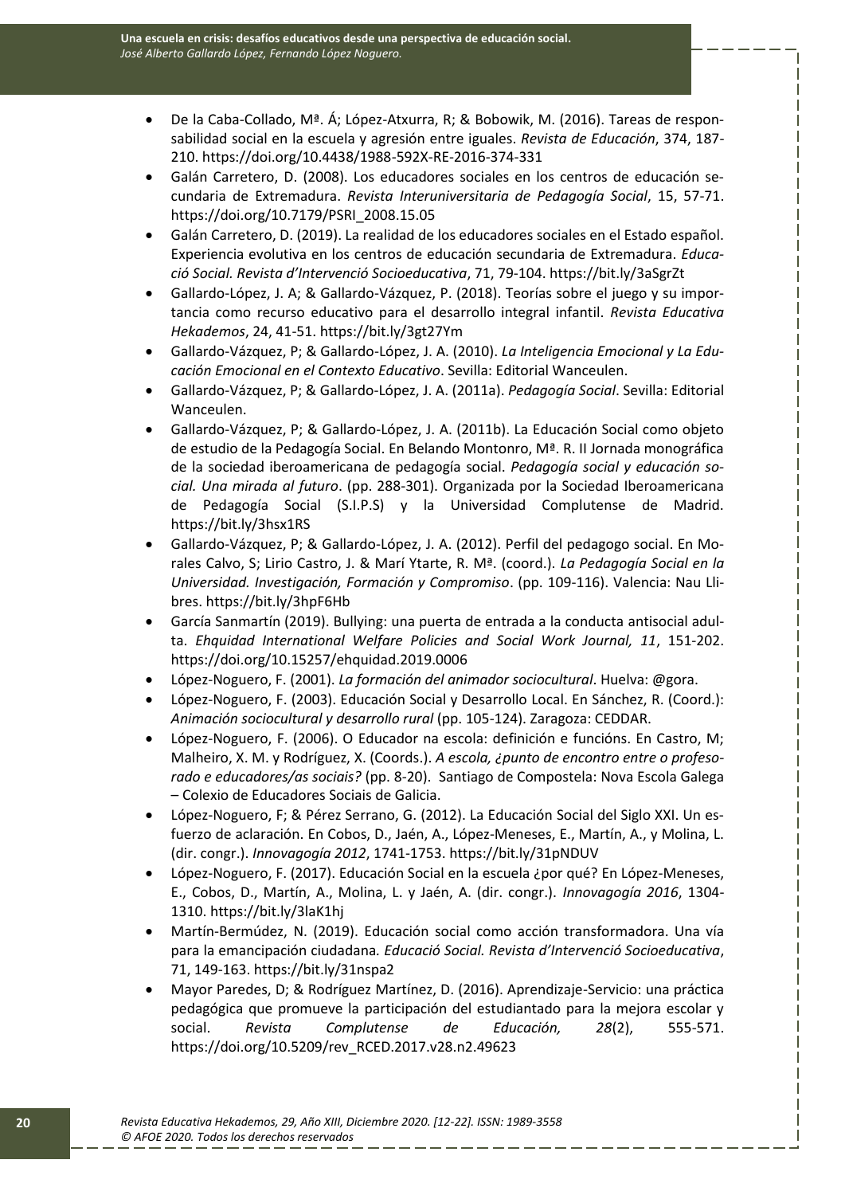- De la Caba-Collado, Mª. Á; López-Atxurra, R; & Bobowik, M. (2016). Tareas de responsabilidad social en la escuela y agresión entre iguales. *Revista de Educación*, 374, 187- 210. https://doi.org/10.4438/1988-592X-RE-2016-374-331
- Galán Carretero, D. (2008). Los educadores sociales en los centros de educación secundaria de Extremadura. *Revista Interuniversitaria de Pedagogía Social*, 15, 57-71. https://doi.org/10.7179/PSRI\_2008.15.05
- Galán Carretero, D. (2019). La realidad de los educadores sociales en el Estado español. Experiencia evolutiva en los centros de educación secundaria de Extremadura. *Educació Social. Revista d'Intervenció Socioeducativa*, 71, 79-104. https://bit.ly/3aSgrZt
- Gallardo-López, J. A; & Gallardo-Vázquez, P. (2018). Teorías sobre el juego y su importancia como recurso educativo para el desarrollo integral infantil. *Revista Educativa Hekademos*, 24, 41-51. https://bit.ly/3gt27Ym
- Gallardo-Vázquez, P; & Gallardo-López, J. A. (2010). *La Inteligencia Emocional y La Educación Emocional en el Contexto Educativo*. Sevilla: Editorial Wanceulen.
- Gallardo-Vázquez, P; & Gallardo-López, J. A. (2011a). *Pedagogía Social*. Sevilla: Editorial Wanceulen.
- Gallardo-Vázquez, P; & Gallardo-López, J. A. (2011b). La Educación Social como objeto de estudio de la Pedagogía Social. En Belando Montonro, Mª. R. II Jornada monográfica de la sociedad iberoamericana de pedagogía social. *Pedagogía social y educación social. Una mirada al futuro*. (pp. 288-301). Organizada por la Sociedad Iberoamericana de Pedagogía Social (S.I.P.S) y la Universidad Complutense de Madrid. https://bit.ly/3hsx1RS
- Gallardo-Vázquez, P; & Gallardo-López, J. A. (2012). Perfil del pedagogo social. En Morales Calvo, S; Lirio Castro, J. & Marí Ytarte, R. Mª. (coord.). *La Pedagogía Social en la Universidad. Investigación, Formación y Compromiso*. (pp. 109-116). Valencia: Nau Llibres. https://bit.ly/3hpF6Hb
- García Sanmartín (2019). Bullying: una puerta de entrada a la conducta antisocial adulta. *Ehquidad International Welfare Policies and Social Work Journal, 11*, 151-202. https://doi.org/10.15257/ehquidad.2019.0006
- López-Noguero, F. (2001). *La formación del animador sociocultural*. Huelva: @gora.
- López-Noguero, F. (2003). Educación Social y Desarrollo Local. En Sánchez, R. (Coord.): *Animación sociocultural y desarrollo rural* (pp. 105-124). Zaragoza: CEDDAR.
- López-Noguero, F. (2006). O Educador na escola: definición e funcións. En Castro, M; Malheiro, X. M. y Rodríguez, X. (Coords.). *A escola, ¿punto de encontro entre o profesorado e educadores/as sociais?* (pp. 8-20). Santiago de Compostela: Nova Escola Galega – Colexio de Educadores Sociais de Galicia.
- López-Noguero, F; & Pérez Serrano, G. (2012). La Educación Social del Siglo XXI. Un esfuerzo de aclaración. En Cobos, D., Jaén, A., López-Meneses, E., Martín, A., y Molina, L. (dir. congr.). *Innovagogía 2012*, 1741-1753. https://bit.ly/31pNDUV
- López-Noguero, F. (2017). Educación Social en la escuela ¿por qué? En López-Meneses, E., Cobos, D., Martín, A., Molina, L. y Jaén, A. (dir. congr.). *Innovagogía 2016*, 1304- 1310. https://bit.ly/3laK1hj
- Martín-Bermúdez, N. (2019). Educación social como acción transformadora. Una vía para la emancipación ciudadana*. Educació Social. Revista d'Intervenció Socioeducativa*, 71, 149-163. https://bit.ly/31nspa2
- Mayor Paredes, D; & Rodríguez Martínez, D. (2016). Aprendizaje-Servicio: una práctica pedagógica que promueve la participación del estudiantado para la mejora escolar y social. *Revista Complutense de Educación, 28*(2), 555-571. https://doi.org/10.5209/rev\_RCED.2017.v28.n2.49623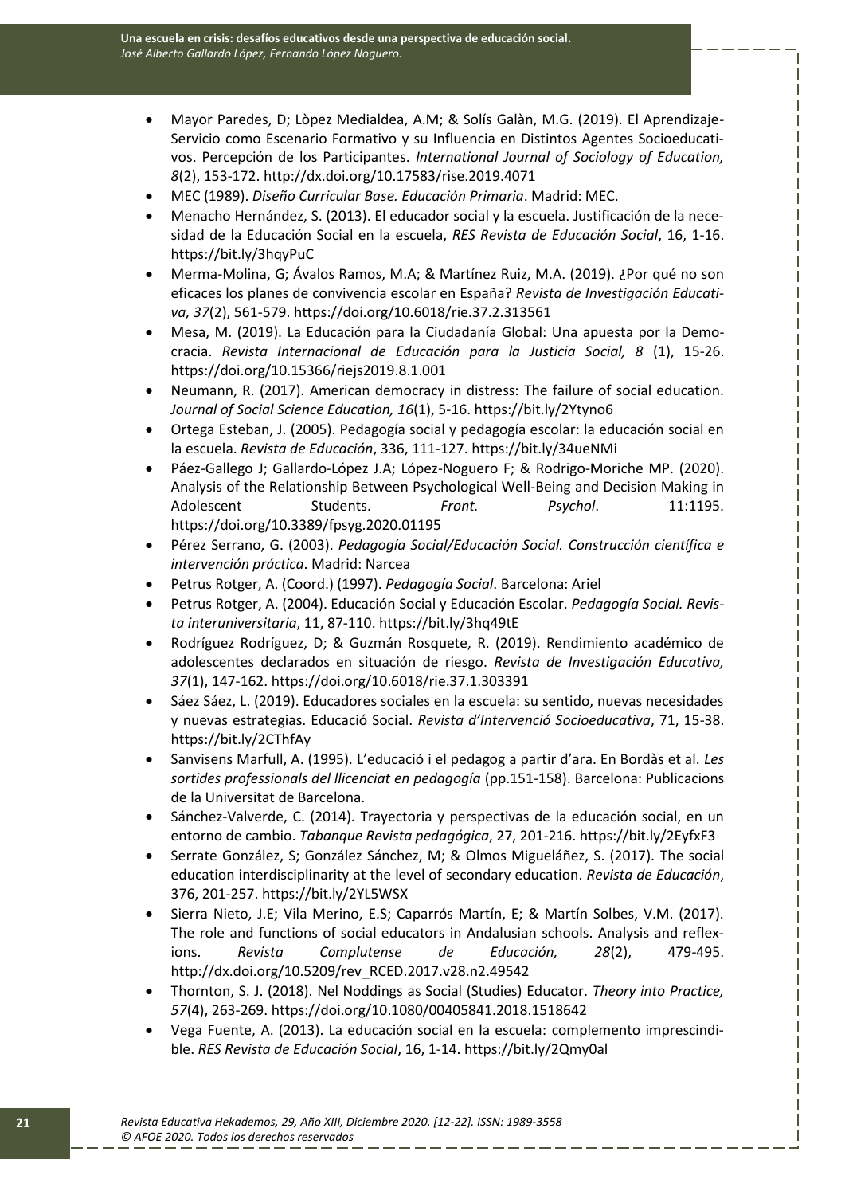- Mayor Paredes, D; Lòpez Medialdea, A.M; & Solís Galàn, M.G. (2019). El Aprendizaje-Servicio como Escenario Formativo y su Influencia en Distintos Agentes Socioeducativos. Percepción de los Participantes. *International Journal of Sociology of Education, 8*(2), 153-172. http://dx.doi.org/10.17583/rise.2019.4071
- MEC (1989). *Diseño Curricular Base. Educación Primaria*. Madrid: MEC.
- Menacho Hernández, S. (2013). El educador social y la escuela. Justificación de la necesidad de la Educación Social en la escuela, *RES Revista de Educación Social*, 16, 1-16. https://bit.ly/3hqyPuC
- Merma-Molina, G; Ávalos Ramos, M.A; & Martínez Ruiz, M.A. (2019). ¿Por qué no son eficaces los planes de convivencia escolar en España? *Revista de Investigación Educativa, 37*(2), 561-579. https://doi.org/10.6018/rie.37.2.313561
- Mesa, M. (2019). La Educación para la Ciudadanía Global: Una apuesta por la Democracia. *Revista Internacional de Educación para la Justicia Social, 8* (1), 15-26. https://doi.org/10.15366/riejs2019.8.1.001
- Neumann, R. (2017). American democracy in distress: The failure of social education. *Journal of Social Science Education, 16*(1), 5-16. https://bit.ly/2Ytyno6
- Ortega Esteban, J. (2005). Pedagogía social y pedagogía escolar: la educación social en la escuela. *Revista de Educación*, 336, 111-127. https://bit.ly/34ueNMi
- Páez-Gallego J; Gallardo-López J.A; López-Noguero F; & Rodrigo-Moriche MP. (2020). Analysis of the Relationship Between Psychological Well-Being and Decision Making in Adolescent Students. *Front. Psychol*. 11:1195. https://doi.org/10.3389/fpsyg.2020.01195
- Pérez Serrano, G. (2003). *Pedagogía Social/Educación Social. Construcción científica e intervención práctica*. Madrid: Narcea
- Petrus Rotger, A. (Coord.) (1997). *Pedagogía Social*. Barcelona: Ariel
- Petrus Rotger, A. (2004). Educación Social y Educación Escolar. *Pedagogía Social. Revista interuniversitaria*, 11, 87-110. https://bit.ly/3hq49tE
- Rodríguez Rodríguez, D; & Guzmán Rosquete, R. (2019). Rendimiento académico de adolescentes declarados en situación de riesgo. *Revista de Investigación Educativa, 37*(1), 147-162. https://doi.org/10.6018/rie.37.1.303391
- Sáez Sáez, L. (2019). Educadores sociales en la escuela: su sentido, nuevas necesidades y nuevas estrategias. Educació Social. *Revista d'Intervenció Socioeducativa*, 71, 15-38. https://bit.ly/2CThfAy
- Sanvisens Marfull, A. (1995). L'educació i el pedagog a partir d'ara. En Bordàs et al. *Les sortides professionals del llicenciat en pedagogía* (pp.151-158). Barcelona: Publicacions de la Universitat de Barcelona.
- Sánchez-Valverde, C. (2014). Trayectoria y perspectivas de la educación social, en un entorno de cambio. *Tabanque Revista pedagógica*, 27, 201-216. https://bit.ly/2EyfxF3
- Serrate González, S; González Sánchez, M; & Olmos Migueláñez, S. (2017). The social education interdisciplinarity at the level of secondary education. *Revista de Educación*, 376, 201-257. https://bit.ly/2YL5WSX
- Sierra Nieto, J.E; Vila Merino, E.S; Caparrós Martín, E; & Martín Solbes, V.M. (2017). The role and functions of social educators in Andalusian schools. Analysis and reflexions. *Revista Complutense de Educación, 28*(2), 479-495. http://dx.doi.org/10.5209/rev\_RCED.2017.v28.n2.49542
- Thornton, S. J. (2018). Nel Noddings as Social (Studies) Educator. *Theory into Practice, 57*(4), 263-269. https://doi.org/10.1080/00405841.2018.1518642
- Vega Fuente, A. (2013). La educación social en la escuela: complemento imprescindible. *RES Revista de Educación Social*, 16, 1-14. https://bit.ly/2Qmy0al